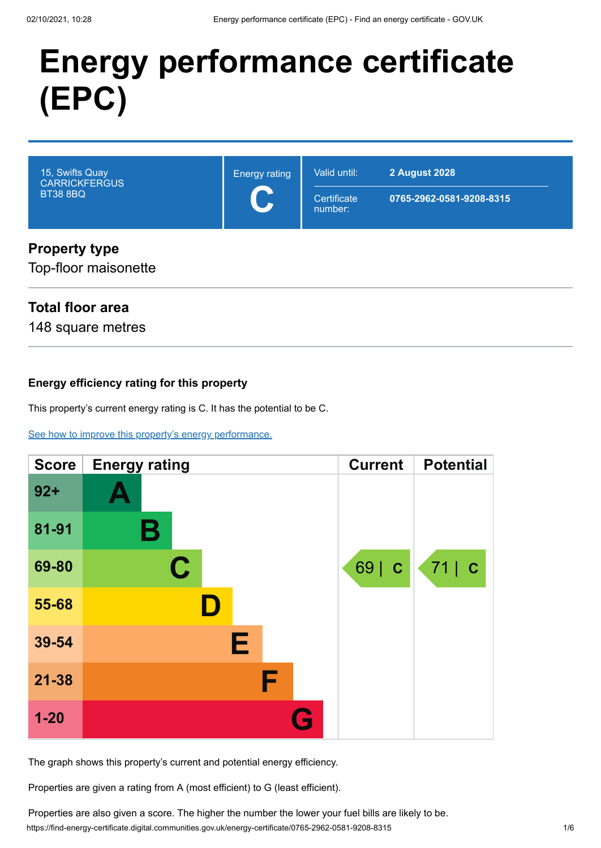# **Energy performance certificate (EPC)**



# Top-floor maisonette

# **Total floor area**

148 square metres

## **Energy efficiency rating for this property**

This property's current energy rating is C. It has the potential to be C.

[See how to improve this property's energy performance.](#page-3-0)

| <b>Score</b> | <b>Energy rating</b> | <b>Current</b> | <b>Potential</b> |
|--------------|----------------------|----------------|------------------|
| $92 +$       |                      |                |                  |
| 81-91        | В                    |                |                  |
| 69-80        | C.                   | 69   C         | 71 c             |
| 55-68        | D                    |                |                  |
| 39-54        | Е                    |                |                  |
| $21 - 38$    | F                    |                |                  |
| $1 - 20$     | G                    |                |                  |

The graph shows this property's current and potential energy efficiency.

Properties are given a rating from A (most efficient) to G (least efficient).

https://find-energy-certificate.digital.communities.gov.uk/energy-certificate/0765-2962-0581-9208-8315 1/6 Properties are also given a score. The higher the number the lower your fuel bills are likely to be.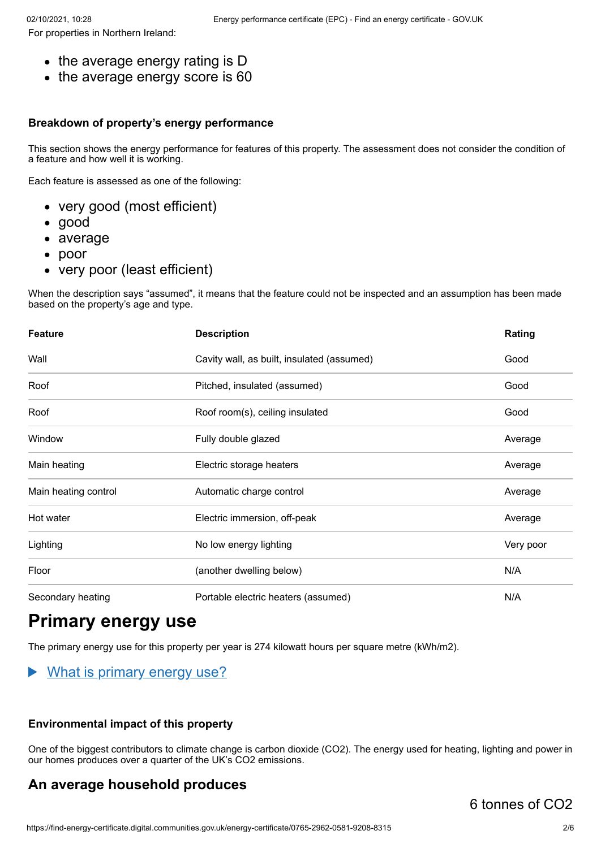For properties in Northern Ireland:

- the average energy rating is D
- the average energy score is 60

#### **Breakdown of property's energy performance**

This section shows the energy performance for features of this property. The assessment does not consider the condition of a feature and how well it is working.

Each feature is assessed as one of the following:

- very good (most efficient)
- good
- average
- poor
- very poor (least efficient)

When the description says "assumed", it means that the feature could not be inspected and an assumption has been made based on the property's age and type.

| <b>Feature</b>       | <b>Description</b>                         | Rating    |
|----------------------|--------------------------------------------|-----------|
| Wall                 | Cavity wall, as built, insulated (assumed) | Good      |
| Roof                 | Pitched, insulated (assumed)               | Good      |
| Roof                 | Roof room(s), ceiling insulated            | Good      |
| Window               | Fully double glazed                        | Average   |
| Main heating         | Electric storage heaters                   | Average   |
| Main heating control | Automatic charge control                   | Average   |
| Hot water            | Electric immersion, off-peak               | Average   |
| Lighting             | No low energy lighting                     | Very poor |
| Floor                | (another dwelling below)                   | N/A       |
| Secondary heating    | Portable electric heaters (assumed)        | N/A       |

# **Primary energy use**

The primary energy use for this property per year is 274 kilowatt hours per square metre (kWh/m2).

#### What is primary energy use?

#### **Environmental impact of this property**

One of the biggest contributors to climate change is carbon dioxide (CO2). The energy used for heating, lighting and power in our homes produces over a quarter of the UK's CO2 emissions.

# **An average household produces**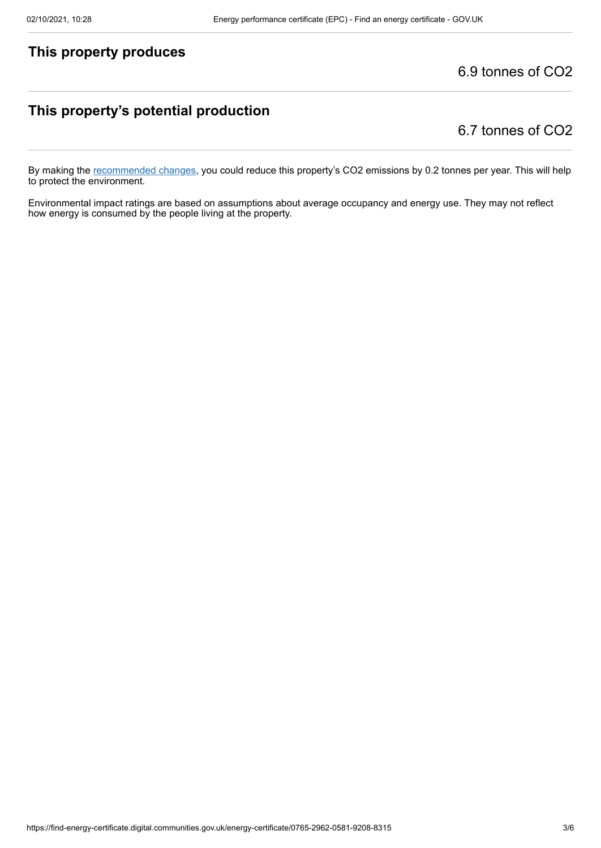## **This property produces**

6.9 tonnes of CO2

## **This property's potential production**

6.7 tonnes of CO2

By making the [recommended changes](#page-3-0), you could reduce this property's CO2 emissions by 0.2 tonnes per year. This will help to protect the environment.

Environmental impact ratings are based on assumptions about average occupancy and energy use. They may not reflect how energy is consumed by the people living at the property.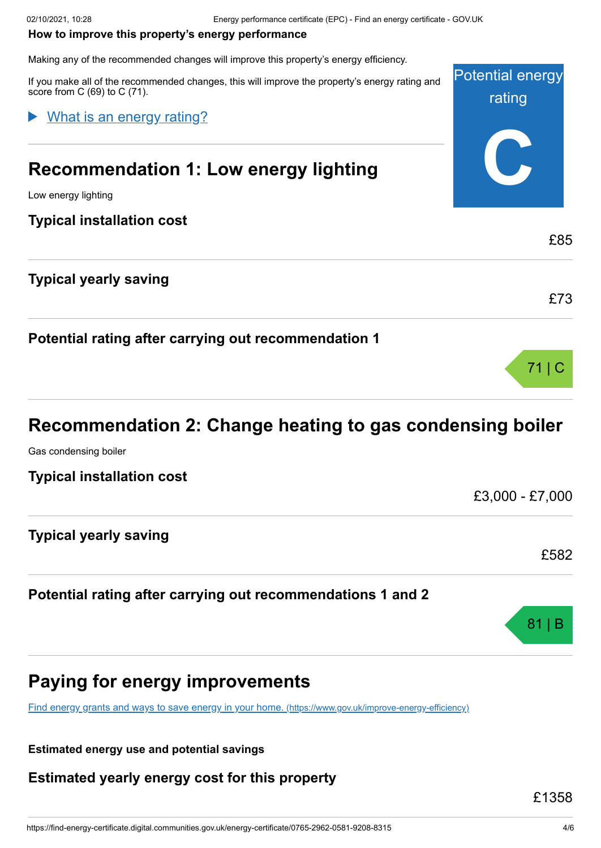#### <span id="page-3-0"></span>**How to improve this property's energy performance**

Making any of the recommended changes will improve this property's energy efficiency.

| If you make all of the recommended changes, this will improve the property's energy rating and<br>score from $C(69)$ to $C(71)$ . | <b>Potential energy</b><br>rating |
|-----------------------------------------------------------------------------------------------------------------------------------|-----------------------------------|
| What is an energy rating?                                                                                                         |                                   |
| <b>Recommendation 1: Low energy lighting</b>                                                                                      |                                   |
| Low energy lighting                                                                                                               |                                   |
| <b>Typical installation cost</b>                                                                                                  |                                   |
|                                                                                                                                   | £85                               |
| <b>Typical yearly saving</b>                                                                                                      |                                   |
|                                                                                                                                   | £73                               |
| Potential rating after carrying out recommendation 1                                                                              |                                   |
|                                                                                                                                   |                                   |

# **Recommendation 2: Change heating to gas condensing boiler**

Gas condensing boiler

**Typical installation cost**

£3,000 - £7,000

| <b>Typical yearly saving</b> |  |      |
|------------------------------|--|------|
|                              |  | £582 |

## **Potential rating after carrying out recommendations 1 and 2**



# **Paying for energy improvements**

[Find energy grants and ways to save energy in your home.](https://www.gov.uk/improve-energy-efficiency) (https://www.gov.uk/improve-energy-efficiency)

**Estimated energy use and potential savings**

**Estimated yearly energy cost for this property**

£1358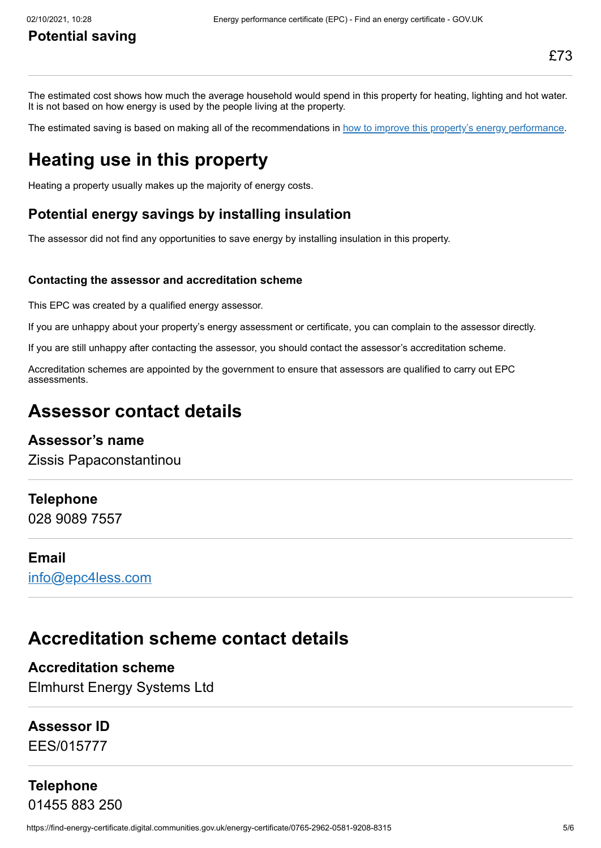The estimated cost shows how much the average household would spend in this property for heating, lighting and hot water. It is not based on how energy is used by the people living at the property.

The estimated saving is based on making all of the recommendations in [how to improve this property's energy performance.](#page-3-0)

# **Heating use in this property**

Heating a property usually makes up the majority of energy costs.

## **Potential energy savings by installing insulation**

The assessor did not find any opportunities to save energy by installing insulation in this property.

#### **Contacting the assessor and accreditation scheme**

This EPC was created by a qualified energy assessor.

If you are unhappy about your property's energy assessment or certificate, you can complain to the assessor directly.

If you are still unhappy after contacting the assessor, you should contact the assessor's accreditation scheme.

Accreditation schemes are appointed by the government to ensure that assessors are qualified to carry out EPC assessments.

# **Assessor contact details**

#### **Assessor's name**

Zissis Papaconstantinou

#### **Telephone**

028 9089 7557

#### **Email**

[info@epc4less.com](mailto:info@epc4less.com)

# **Accreditation scheme contact details**

**Accreditation scheme** Elmhurst Energy Systems Ltd

#### **Assessor ID**

EES/015777

# **Telephone** 01455 883 250